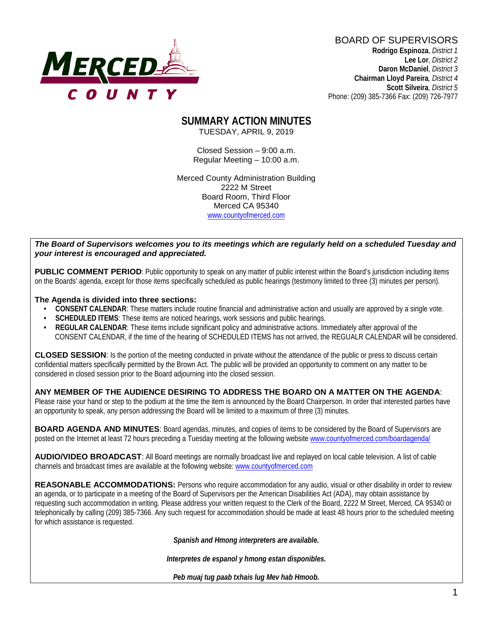

BOARD OF SUPERVISORS **Rodrigo Espinoza**, *District 1*  **Lee Lor**, *District 2*  **Daron McDaniel**, *District 3* **Chairman Lloyd Pareira***, District 4*

 **Scott Silveira**, *District 5* Phone: (209) 385-7366 Fax: (209) 726-7977

#### **SUMMARY ACTION MINUTES** TUESDAY, APRIL 9, 2019

Closed Session – 9:00 a.m. Regular Meeting – 10:00 a.m.

Merced County Administration Building 2222 M Street Board Room, Third Floor Merced CA 95340 www.countyofmerced.com

#### *The Board of Supervisors welcomes you to its meetings which are regularly held on a scheduled Tuesday and your interest is encouraged and appreciated.*

**PUBLIC COMMENT PERIOD:** Public opportunity to speak on any matter of public interest within the Board's jurisdiction including items on the Boards' agenda, except for those items specifically scheduled as public hearings (testimony limited to three (3) minutes per person).

#### **The Agenda is divided into three sections:**

- **CONSENT CALENDAR**: These matters include routine financial and administrative action and usually are approved by a single vote.
- **SCHEDULED ITEMS:** These items are noticed hearings, work sessions and public hearings.
- **REGULAR CALENDAR**: These items include significant policy and administrative actions. Immediately after approval of the CONSENT CALENDAR, if the time of the hearing of SCHEDULED ITEMS has not arrived, the REGUALR CALENDAR will be considered.

**CLOSED SESSION**: Is the portion of the meeting conducted in private without the attendance of the public or press to discuss certain confidential matters specifically permitted by the Brown Act. The public will be provided an opportunity to comment on any matter to be considered in closed session prior to the Board adjourning into the closed session.

#### **ANY MEMBER OF THE AUDIENCE DESIRING TO ADDRESS THE BOARD ON A MATTER ON THE AGENDA**:

Please raise your hand or step to the podium at the time the item is announced by the Board Chairperson. In order that interested parties have an opportunity to speak, any person addressing the Board will be limited to a maximum of three (3) minutes.

**BOARD AGENDA AND MINUTES:** Board agendas, minutes, and copies of items to be considered by the Board of Supervisors are posted on the Internet at least 72 hours preceding a Tuesday meeting at the following website [www.countyofmerced.com/boardagenda/](http://www.countyofmerced.com/boardagenda/) 

**AUDIO/VIDEO BROADCAST**: All Board meetings are normally broadcast live and replayed on local cable television. A list of cable channels and broadcast times are available at the following website[: www.countyofmerced.com](http://www.countyofmerced.com/)

**REASONABLE ACCOMMODATIONS:** Persons who require accommodation for any audio, visual or other disability in order to review an agenda, or to participate in a meeting of the Board of Supervisors per the American Disabilities Act (ADA), may obtain assistance by requesting such accommodation in writing. Please address your written request to the Clerk of the Board, 2222 M Street, Merced, CA 95340 or telephonically by calling (209) 385-7366. Any such request for accommodation should be made at least 48 hours prior to the scheduled meeting for which assistance is requested.

*Spanish and Hmong interpreters are available.*

*Interpretes de espanol y hmong estan disponibles.*

*Peb muaj tug paab txhais lug Mev hab Hmoob.*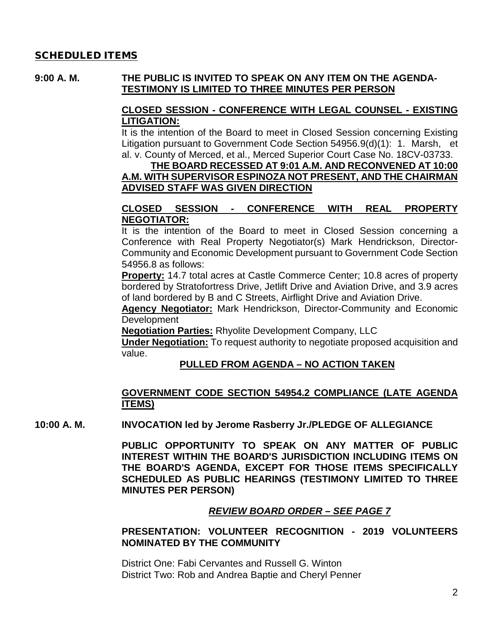#### SCHEDULED ITEMS

#### **9:00 A. M. THE PUBLIC IS INVITED TO SPEAK ON ANY ITEM ON THE AGENDA-TESTIMONY IS LIMITED TO THREE MINUTES PER PERSON**

#### **CLOSED SESSION - CONFERENCE WITH LEGAL COUNSEL - EXISTING LITIGATION:**

It is the intention of the Board to meet in Closed Session concerning Existing Litigation pursuant to Government Code Section 54956.9(d)(1): 1. Marsh, et al. v. County of Merced, et al., Merced Superior Court Case No. 18CV-03733.

### **THE BOARD RECESSED AT 9:01 A.M. AND RECONVENED AT 10:00 A.M. WITH SUPERVISOR ESPINOZA NOT PRESENT, AND THE CHAIRMAN ADVISED STAFF WAS GIVEN DIRECTION**

### **CLOSED SESSION - CONFERENCE WITH REAL PROPERTY NEGOTIATOR:**

It is the intention of the Board to meet in Closed Session concerning a Conference with Real Property Negotiator(s) Mark Hendrickson, Director-Community and Economic Development pursuant to Government Code Section 54956.8 as follows:

**Property:** 14.7 total acres at Castle Commerce Center; 10.8 acres of property bordered by Stratofortress Drive, Jetlift Drive and Aviation Drive, and 3.9 acres of land bordered by B and C Streets, Airflight Drive and Aviation Drive.

**Agency Negotiator:** Mark Hendrickson, Director-Community and Economic **Development** 

**Negotiation Parties:** Rhyolite Development Company, LLC

**Under Negotiation:** To request authority to negotiate proposed acquisition and value.

#### **PULLED FROM AGENDA – NO ACTION TAKEN**

#### **GOVERNMENT CODE SECTION 54954.2 COMPLIANCE (LATE AGENDA ITEMS)**

**10:00 A. M. INVOCATION led by Jerome Rasberry Jr./PLEDGE OF ALLEGIANCE**

**PUBLIC OPPORTUNITY TO SPEAK ON ANY MATTER OF PUBLIC INTEREST WITHIN THE BOARD'S JURISDICTION INCLUDING ITEMS ON THE BOARD'S AGENDA, EXCEPT FOR THOSE ITEMS SPECIFICALLY SCHEDULED AS PUBLIC HEARINGS (TESTIMONY LIMITED TO THREE MINUTES PER PERSON)**

### *REVIEW BOARD ORDER – SEE PAGE 7*

### **PRESENTATION: VOLUNTEER RECOGNITION - 2019 VOLUNTEERS NOMINATED BY THE COMMUNITY**

District One: Fabi Cervantes and Russell G. Winton District Two: Rob and Andrea Baptie and Cheryl Penner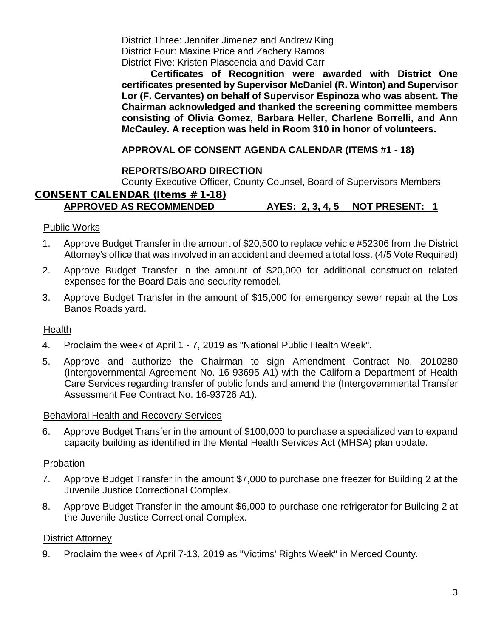District Three: Jennifer Jimenez and Andrew King District Four: Maxine Price and Zachery Ramos District Five: Kristen Plascencia and David Carr

**Certificates of Recognition were awarded with District One certificates presented by Supervisor McDaniel (R. Winton) and Supervisor Lor (F. Cervantes) on behalf of Supervisor Espinoza who was absent. The Chairman acknowledged and thanked the screening committee members consisting of Olivia Gomez, Barbara Heller, Charlene Borrelli, and Ann McCauley. A reception was held in Room 310 in honor of volunteers.**

### **APPROVAL OF CONSENT AGENDA CALENDAR (ITEMS #1 - 18)**

### **REPORTS/BOARD DIRECTION**

County Executive Officer, County Counsel, Board of Supervisors Members

# CONSENT CALENDAR (Items # 1-18)

### **APPROVED AS RECOMMENDED AYES: 2, 3, 4, 5 NOT PRESENT: 1**

#### Public Works

- 1. Approve Budget Transfer in the amount of \$20,500 to replace vehicle #52306 from the District Attorney's office that was involved in an accident and deemed a total loss. (4/5 Vote Required)
- 2. Approve Budget Transfer in the amount of \$20,000 for additional construction related expenses for the Board Dais and security remodel.
- 3. Approve Budget Transfer in the amount of \$15,000 for emergency sewer repair at the Los Banos Roads yard.

#### Health

- 4. Proclaim the week of April 1 7, 2019 as "National Public Health Week".
- 5. Approve and authorize the Chairman to sign Amendment Contract No. 2010280 (Intergovernmental Agreement No. 16-93695 A1) with the California Department of Health Care Services regarding transfer of public funds and amend the (Intergovernmental Transfer Assessment Fee Contract No. 16-93726 A1).

#### Behavioral Health and Recovery Services

6. Approve Budget Transfer in the amount of \$100,000 to purchase a specialized van to expand capacity building as identified in the Mental Health Services Act (MHSA) plan update.

#### Probation

- 7. Approve Budget Transfer in the amount \$7,000 to purchase one freezer for Building 2 at the Juvenile Justice Correctional Complex.
- 8. Approve Budget Transfer in the amount \$6,000 to purchase one refrigerator for Building 2 at the Juvenile Justice Correctional Complex.

#### District Attorney

9. Proclaim the week of April 7-13, 2019 as "Victims' Rights Week" in Merced County.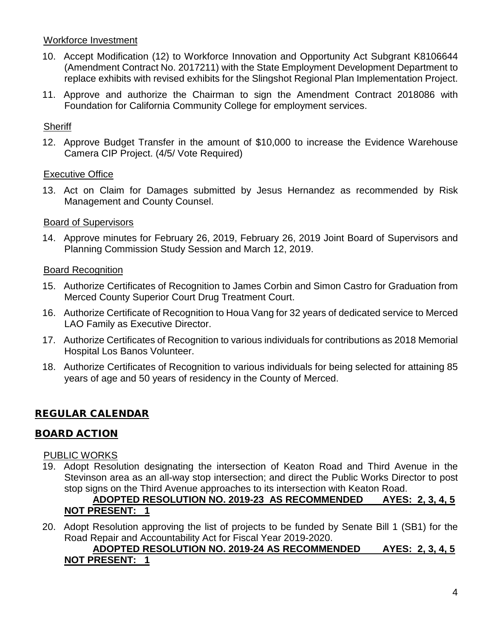### Workforce Investment

- 10. Accept Modification (12) to Workforce Innovation and Opportunity Act Subgrant K8106644 (Amendment Contract No. 2017211) with the State Employment Development Department to replace exhibits with revised exhibits for the Slingshot Regional Plan Implementation Project.
- 11. Approve and authorize the Chairman to sign the Amendment Contract 2018086 with Foundation for California Community College for employment services.

### **Sheriff**

12. Approve Budget Transfer in the amount of \$10,000 to increase the Evidence Warehouse Camera CIP Project. (4/5/ Vote Required)

#### Executive Office

13. Act on Claim for Damages submitted by Jesus Hernandez as recommended by Risk Management and County Counsel.

### Board of Supervisors

14. Approve minutes for February 26, 2019, February 26, 2019 Joint Board of Supervisors and Planning Commission Study Session and March 12, 2019.

### Board Recognition

- 15. Authorize Certificates of Recognition to James Corbin and Simon Castro for Graduation from Merced County Superior Court Drug Treatment Court.
- 16. Authorize Certificate of Recognition to Houa Vang for 32 years of dedicated service to Merced LAO Family as Executive Director.
- 17. Authorize Certificates of Recognition to various individuals for contributions as 2018 Memorial Hospital Los Banos Volunteer.
- 18. Authorize Certificates of Recognition to various individuals for being selected for attaining 85 years of age and 50 years of residency in the County of Merced.

## REGULAR CALENDAR

### BOARD ACTION

#### PUBLIC WORKS

19. Adopt Resolution designating the intersection of Keaton Road and Third Avenue in the Stevinson area as an all-way stop intersection; and direct the Public Works Director to post stop signs on the Third Avenue approaches to its intersection with Keaton Road.

## **ADOPTED RESOLUTION NO. 2019-23 AS RECOMMENDED AYES: 2, 3, 4, 5 NOT PRESENT: 1**

20. Adopt Resolution approving the list of projects to be funded by Senate Bill 1 (SB1) for the Road Repair and Accountability Act for Fiscal Year 2019-2020.

### **ADOPTED RESOLUTION NO. 2019-24 AS RECOMMENDED AYES: 2, 3, 4, 5 NOT PRESENT: 1**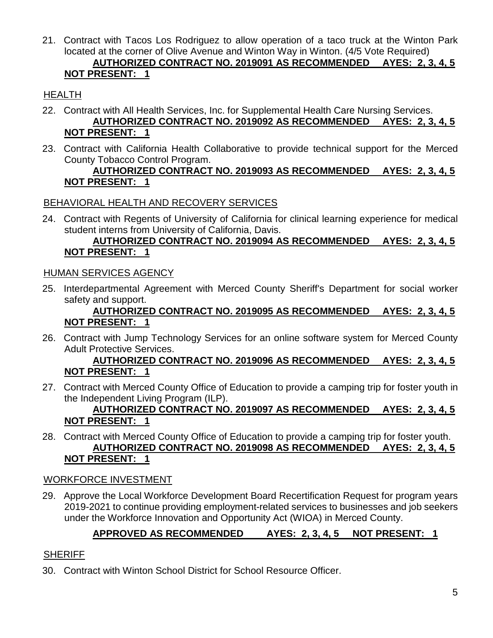21. Contract with Tacos Los Rodriguez to allow operation of a taco truck at the Winton Park located at the corner of Olive Avenue and Winton Way in Winton. (4/5 Vote Required)

## **AUTHORIZED CONTRACT NO. 2019091 AS RECOMMENDED AYES: 2, 3, 4, 5 NOT PRESENT: 1**

# HEALTH

- 22. Contract with All Health Services, Inc. for Supplemental Health Care Nursing Services. **AUTHORIZED CONTRACT NO. 2019092 AS RECOMMENDED AYES: 2, 3, 4, 5 NOT PRESENT: 1**
- 23. Contract with California Health Collaborative to provide technical support for the Merced County Tobacco Control Program.

### **AUTHORIZED CONTRACT NO. 2019093 AS RECOMMENDED AYES: 2, 3, 4, 5 NOT PRESENT: 1**

## BEHAVIORAL HEALTH AND RECOVERY SERVICES

24. Contract with Regents of University of California for clinical learning experience for medical student interns from University of California, Davis.

### **AUTHORIZED CONTRACT NO. 2019094 AS RECOMMENDED AYES: 2, 3, 4, 5 NOT PRESENT: 1**

### HUMAN SERVICES AGENCY

25. Interdepartmental Agreement with Merced County Sheriff's Department for social worker safety and support.

### **AUTHORIZED CONTRACT NO. 2019095 AS RECOMMENDED AYES: 2, 3, 4, 5 NOT PRESENT: 1**

26. Contract with Jump Technology Services for an online software system for Merced County Adult Protective Services.

### **AUTHORIZED CONTRACT NO. 2019096 AS RECOMMENDED AYES: 2, 3, 4, 5 NOT PRESENT: 1**

27. Contract with Merced County Office of Education to provide a camping trip for foster youth in the Independent Living Program (ILP).

## **AUTHORIZED CONTRACT NO. 2019097 AS RECOMMENDED AYES: 2, 3, 4, 5 NOT PRESENT: 1**

28. Contract with Merced County Office of Education to provide a camping trip for foster youth. **AUTHORIZED CONTRACT NO. 2019098 AS RECOMMENDED AYES: 2, 3, 4, 5 NOT PRESENT: 1**

### WORKFORCE INVESTMENT

29. Approve the Local Workforce Development Board Recertification Request for program years 2019-2021 to continue providing employment-related services to businesses and job seekers under the Workforce Innovation and Opportunity Act (WIOA) in Merced County.

## **APPROVED AS RECOMMENDED AYES: 2, 3, 4, 5 NOT PRESENT: 1**

### **SHERIFF**

30. Contract with Winton School District for School Resource Officer.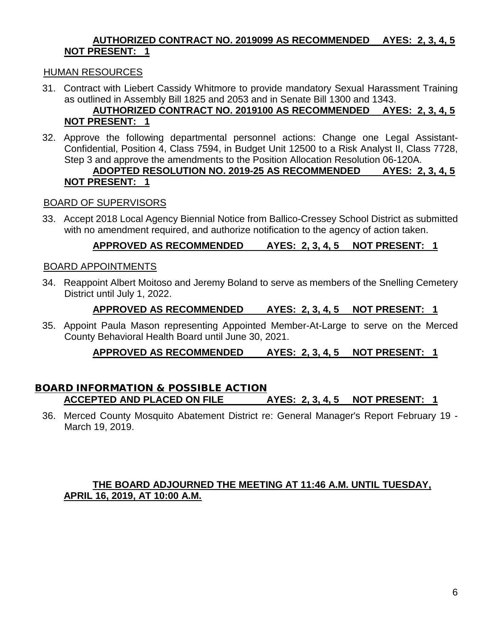### **AUTHORIZED CONTRACT NO. 2019099 AS RECOMMENDED AYES: 2, 3, 4, 5 NOT PRESENT: 1**

### HUMAN RESOURCES

31. Contract with Liebert Cassidy Whitmore to provide mandatory Sexual Harassment Training as outlined in Assembly Bill 1825 and 2053 and in Senate Bill 1300 and 1343.

### **AUTHORIZED CONTRACT NO. 2019100 AS RECOMMENDED AYES: 2, 3, 4, 5 NOT PRESENT: 1**

32. Approve the following departmental personnel actions: Change one Legal Assistant-Confidential, Position 4, Class 7594, in Budget Unit 12500 to a Risk Analyst II, Class 7728, Step 3 and approve the amendments to the Position Allocation Resolution 06-120A.

### **ADOPTED RESOLUTION NO. 2019-25 AS RECOMMENDED AYES: 2, 3, 4, 5 NOT PRESENT: 1**

### BOARD OF SUPERVISORS

33. Accept 2018 Local Agency Biennial Notice from Ballico-Cressey School District as submitted with no amendment required, and authorize notification to the agency of action taken.

### **APPROVED AS RECOMMENDED AYES: 2, 3, 4, 5 NOT PRESENT: 1**

#### BOARD APPOINTMENTS

34. Reappoint Albert Moitoso and Jeremy Boland to serve as members of the Snelling Cemetery District until July 1, 2022.

#### **APPROVED AS RECOMMENDED AYES: 2, 3, 4, 5 NOT PRESENT: 1**

35. Appoint Paula Mason representing Appointed Member-At-Large to serve on the Merced County Behavioral Health Board until June 30, 2021.

### **APPROVED AS RECOMMENDED AYES: 2, 3, 4, 5 NOT PRESENT: 1**

#### BOARD INFORMATION & POSSIBLE ACTION **ACCEPTED AND PLACED ON FILE AYES: 2, 3, 4, 5 NOT PRESENT: 1**

36. Merced County Mosquito Abatement District re: General Manager's Report February 19 - March 19, 2019.

### **THE BOARD ADJOURNED THE MEETING AT 11:46 A.M. UNTIL TUESDAY, APRIL 16, 2019, AT 10:00 A.M.**